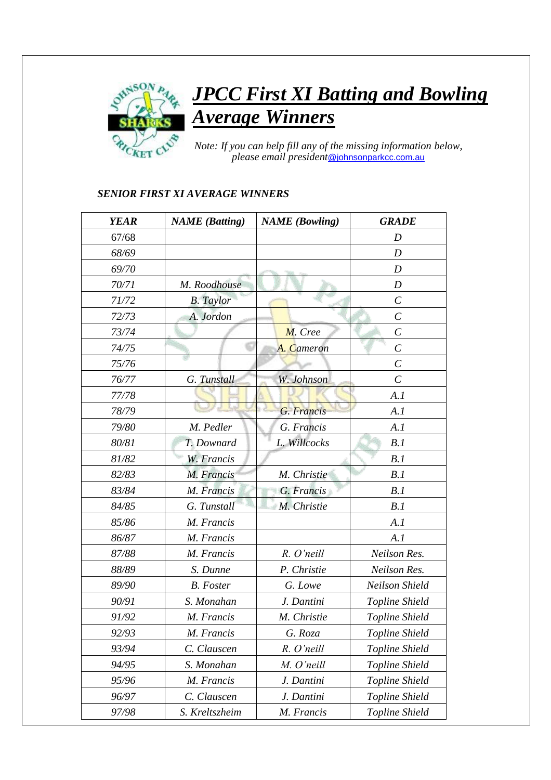

## *SENIOR FIRST XI AVERAGE WINNERS*

| <b>YEAR</b> | <b>NAME</b> (Batting) | <b>NAME</b> (Bowling) | <b>GRADE</b>            |
|-------------|-----------------------|-----------------------|-------------------------|
| 67/68       |                       |                       | D                       |
| 68/69       |                       |                       | D                       |
| 69/70       |                       |                       | D                       |
| 70/71       | M. Roodhouse          |                       | D                       |
| 71/72       | <b>B.</b> Taylor      |                       | $\mathcal{C}$           |
| 72/73       | A. Jordon             |                       | $\mathcal{C}_{0}^{(n)}$ |
| 73/74       |                       | M. Cree               | $\mathcal{C}_{0}^{(n)}$ |
| 74/75       |                       | A. Cameron            | $\mathcal{C}_{0}^{0}$   |
| 75/76       |                       |                       | $\mathcal{C}$           |
| 76/77       | G. Tunstall           | W. Johnson            | $\mathcal{C}_{0}^{(n)}$ |
| 77/78       |                       |                       | A.I                     |
| 78/79       |                       | G. Francis            | A.I                     |
| 79/80       | M. Pedler             | G. Francis            | A.I                     |
| 80/81       | T. Downard            | L. Willcocks          | B.1                     |
| 81/82       | W. Francis            |                       | B.1                     |
| 82/83       | M. Francis            | M. Christie           | B.1                     |
| 83/84       | M. Francis            | G. Francis            | B.1                     |
| 84/85       | G. Tunstall           | M. Christie           | B.1                     |
| 85/86       | M. Francis            |                       | A.I                     |
| 86/87       | M. Francis            |                       | A.I                     |
| 87/88       | M. Francis            | $R.$ $O'neill$        | Neilson Res.            |
| 88/89       | S. Dunne              | P. Christie           | Neilson Res.            |
| 89/90       | <b>B.</b> Foster      | G. Lowe               | Neilson Shield          |
| 90/91       | S. Monahan            | J. Dantini            | Topline Shield          |
| 91/92       | M. Francis            | M. Christie           | Topline Shield          |
| 92/93       | M. Francis            | G. Roza               | Topline Shield          |
| 93/94       | C. Clauscen           | R. O'neill            | Topline Shield          |
| 94/95       | S. Monahan            | M. O'neill            | Topline Shield          |
| 95/96       | M. Francis            | J. Dantini            | Topline Shield          |
| 96/97       | C. Clauscen           | J. Dantini            | Topline Shield          |
| 97/98       | S. Kreltszheim        | M. Francis            | Topline Shield          |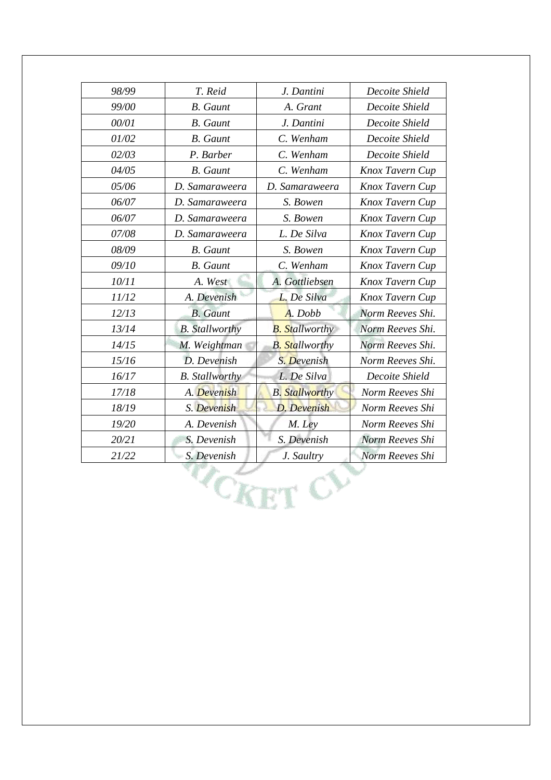| 98/99 | T. Reid               | J. Dantini            | Decoite Shield   |
|-------|-----------------------|-----------------------|------------------|
| 99/00 | <b>B.</b> Gaunt       | A. Grant              | Decoite Shield   |
| 00/01 | <b>B.</b> Gaunt       | J. Dantini            | Decoite Shield   |
| 01/02 | <b>B.</b> Gaunt       | C. Wenham             | Decoite Shield   |
| 02/03 | P. Barber             | C. Wenham             | Decoite Shield   |
| 04/05 | <b>B.</b> Gaunt       | C. Wenham             | Knox Tavern Cup  |
| 05/06 | D. Samaraweera        | D. Samaraweera        | Knox Tavern Cup  |
| 06/07 | D. Samaraweera        | S. Bowen              | Knox Tavern Cup  |
| 06/07 | D. Samaraweera        | S. Bowen              | Knox Tavern Cup  |
| 07/08 | D. Samaraweera        | L. De Silva           | Knox Tavern Cup  |
| 08/09 | <b>B.</b> Gaunt       | S. Bowen              | Knox Tavern Cup  |
| 09/10 | <b>B.</b> Gaunt       | C. Wenham             | Knox Tavern Cup  |
| 10/11 | A. West               | A. Gottliebsen        | Knox Tavern Cup  |
| 11/12 | A. Devenish           | L. De Silva           | Knox Tavern Cup  |
| 12/13 | <b>B.</b> Gaunt       | A. Dobb               | Norm Reeves Shi. |
| 13/14 | <b>B.</b> Stallworthy | <b>B.</b> Stallworthy | Norm Reeves Shi. |
| 14/15 | M. Weightman          | <b>B.</b> Stallworthy | Norm Reeves Shi. |
| 15/16 | D. Devenish           | S. Devenish           | Norm Reeves Shi. |
| 16/17 | <b>B.</b> Stallworthy | L. De Silva           | Decoite Shield   |
| 17/18 | A. Devenish           | <b>B.</b> Stallworthy | Norm Reeves Shi  |
| 18/19 | S. Devenish           | <b>D.</b> Devenish    | Norm Reeves Shi  |
| 19/20 | A. Devenish           | M. Ley                | Norm Reeves Shi  |
| 20/21 | S. Devenish           | S. Devenish           | Norm Reeves Shi  |
| 21/22 | S. Devenish           | J. Saultry            | Norm Reeves Shi  |

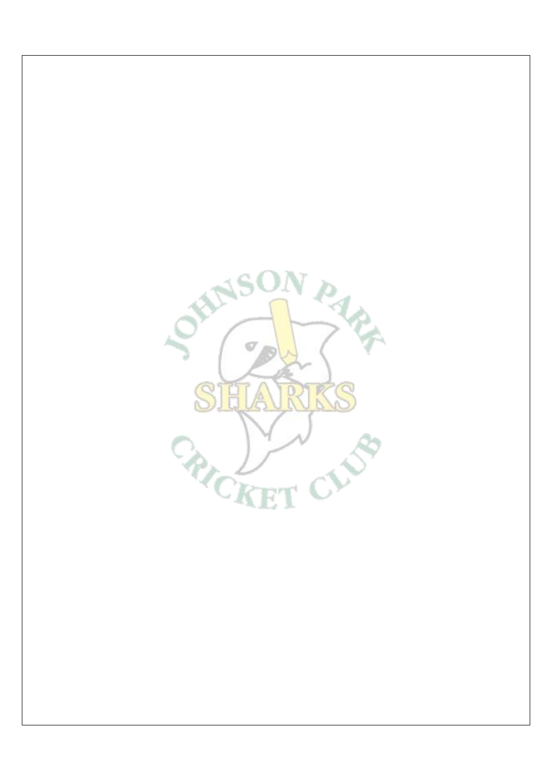